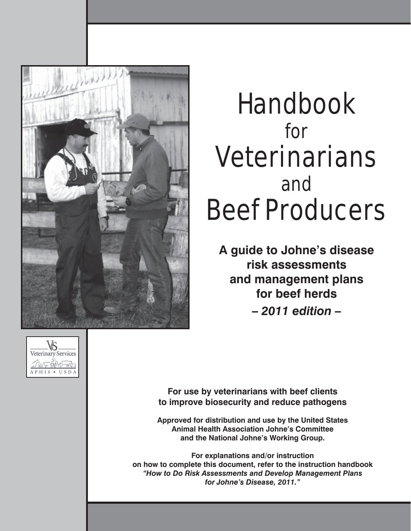

# Handbook for Veterinarians and Beef Producers

**A guide to Johne's disease risk assessments and management plans for beef herds –** *2011 edition –*



**For use by veterinarians with beef clients to improve biosecurity and reduce pathogens**

**Approved for distribution and use by the United States Animal Health Association Johne's Committee and the National Johne's Working Group.**

**For explanations and/or instruction on how to complete this document, refer to the instruction handbook**  *"How to Do Risk Assessments and Develop Management Plans for Johne's Disease, 2011."*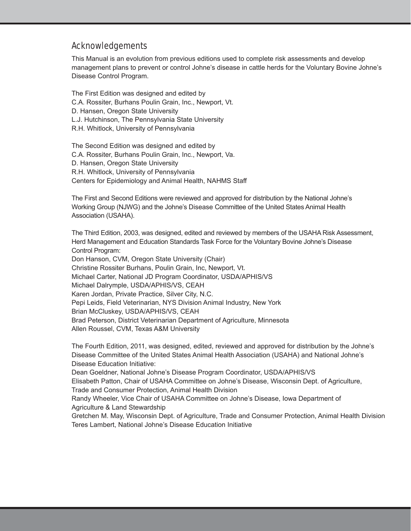#### Acknowledgements

This Manual is an evolution from previous editions used to complete risk assessments and develop management plans to prevent or control Johne's disease in cattle herds for the Voluntary Bovine Johne's Disease Control Program.

The First Edition was designed and edited by C.A. Rossiter, Burhans Poulin Grain, Inc., Newport, Vt. D. Hansen, Oregon State University L.J. Hutchinson, The Pennsylvania State University R.H. Whitlock, University of Pennsylvania

The Second Edition was designed and edited by C.A. Rossiter, Burhans Poulin Grain, Inc., Newport, Va. D. Hansen, Oregon State University R.H. Whitlock, University of Pennsylvania Centers for Epidemiology and Animal Health, NAHMS Staff

The First and Second Editions were reviewed and approved for distribution by the National Johne's Working Group (NJWG) and the Johne's Disease Committee of the United States Animal Health Association (USAHA).

The Third Edition, 2003, was designed, edited and reviewed by members of the USAHA Risk Assessment, Herd Management and Education Standards Task Force for the Voluntary Bovine Johne's Disease Control Program:

Don Hanson, CVM, Oregon State University (Chair) Christine Rossiter Burhans, Poulin Grain, Inc, Newport, Vt. Michael Carter, National JD Program Coordinator, USDA/APHIS/VS Michael Dalrymple, USDA/APHIS/VS, CEAH Karen Jordan, Private Practice, Silver City, N.C. Pepi Leids, Field Veterinarian, NYS Division Animal Industry, New York Brian McCluskey, USDA/APHIS/VS, CEAH Brad Peterson, District Veterinarian Department of Agriculture, Minnesota Allen Roussel, CVM, Texas A&M University

The Fourth Edition, 2011, was designed, edited, reviewed and approved for distribution by the Johne's Disease Committee of the United States Animal Health Association (USAHA) and National Johne's Disease Education Initiative:

Dean Goeldner, National Johne's Disease Program Coordinator, USDA/APHIS/VS Elisabeth Patton, Chair of USAHA Committee on Johne's Disease, Wisconsin Dept. of Agriculture, Trade and Consumer Protection, Animal Health Division

Randy Wheeler, Vice Chair of USAHA Committee on Johne's Disease, Iowa Department of Agriculture & Land Stewardship

Gretchen M. May, Wisconsin Dept. of Agriculture, Trade and Consumer Protection, Animal Health Division Teres Lambert, National Johne's Disease Education Initiative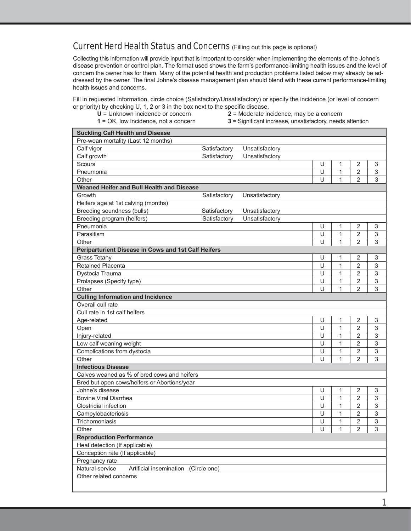#### Current Herd Health Status and Concerns (Filling out this page is optional)

Collecting this information will provide input that is important to consider when implementing the elements of the Johne's disease prevention or control plan. The format used shows the farm's performance-limiting health issues and the level of concern the owner has for them. Many of the potential health and production problems listed below may already be addressed by the owner. The final Johne's disease management plan should blend with these current performance-limiting health issues and concerns.

Fill in requested information, circle choice (Satisfactory/Unsatisfactory) or specify the incidence (or level of concern or priority) by checking  $U$ , 1, 2 or 3 in the box next to the specific disease.

- 
- **U** = Unknown incidence or concern **2** = Moderate incidence, may be a concern
- 
- **1** = OK, low incidence, not a concern **3** = Significant increase, unsatisfactory, needs attention

| <b>Suckling Calf Health and Disease</b>             |              |                |   |              |                |             |
|-----------------------------------------------------|--------------|----------------|---|--------------|----------------|-------------|
| Pre-wean mortality (Last 12 months)                 |              |                |   |              |                |             |
| Calf vigor                                          | Satisfactory | Unsatisfactory |   |              |                |             |
| Calf growth                                         | Satisfactory | Unsatisfactory |   |              |                |             |
| Scours                                              |              |                | U | 1            | $\overline{2}$ | 3           |
| Pneumonia                                           |              |                | U | 1            | $\overline{2}$ | $\mathsf 3$ |
| Other                                               |              |                | U | 1            | $\overline{2}$ | 3           |
| Weaned Heifer and Bull Health and Disease           |              |                |   |              |                |             |
| Growth                                              | Satisfactory | Unsatisfactory |   |              |                |             |
| Heifers age at 1st calving (months)                 |              |                |   |              |                |             |
| Breeding soundness (bulls)                          | Satisfactory | Unsatisfactory |   |              |                |             |
| Breeding program (heifers)                          | Satisfactory | Unsatisfactory |   |              |                |             |
| Pneumonia                                           |              |                | U | 1            | 2              | 3           |
| Parasitism                                          |              |                | U | $\mathbf{1}$ | $\overline{2}$ | 3           |
| Other                                               |              |                | Ū | $\mathbf{1}$ | $\overline{2}$ | 3           |
| Periparturient Disease in Cows and 1st Calf Heifers |              |                |   |              |                |             |
| <b>Grass Tetany</b>                                 |              |                | U | 1            | 2              | 3           |
| Retained Placenta                                   |              |                | U | $\mathbf{1}$ | $\overline{2}$ | 3           |
| Dystocia Trauma                                     |              |                | U | 1            | 2              | 3           |
| Prolapses (Specify type)                            |              |                | U | 1            | 2              | 3           |
| Other                                               |              |                | U | 1            | 2              | 3           |
| <b>Culling Information and Incidence</b>            |              |                |   |              |                |             |
| Overall cull rate                                   |              |                |   |              |                |             |
| Cull rate in 1st calf heifers                       |              |                |   |              |                |             |
| Age-related                                         |              |                | U | 1            | 2              | 3           |
| Open                                                |              |                | U | 1            | $\overline{2}$ | $\mathsf 3$ |
| Injury-related                                      |              |                | U | 1            | $\overline{2}$ | 3           |
| Low calf weaning weight                             |              |                | U | 1            | $\overline{2}$ | 3           |
| Complications from dystocia                         |              |                | U | 1            | $\overline{2}$ | 3           |
| Other                                               |              |                | U | $\mathbf{1}$ | $\overline{2}$ | 3           |
| <b>Infectious Disease</b>                           |              |                |   |              |                |             |
| Calves weaned as % of bred cows and heifers         |              |                |   |              |                |             |
| Bred but open cows/heifers or Abortions/year        |              |                |   |              |                |             |
| Johne's disease                                     |              |                | U | 1            | 2              | 3           |
| <b>Bovine Viral Diarrhea</b>                        |              |                | U | $\mathbf{1}$ | $\overline{2}$ | 3           |
| Clostridial infection                               |              |                | U | 1            | 2              | 3           |
| Campylobacteriosis                                  |              |                | U | 1            | $\overline{2}$ | 3           |
| Trichomoniasis                                      |              |                | U | 1            | $\overline{2}$ | 3           |
| Other                                               |              |                | U | 1            | $\overline{c}$ | 3           |
| <b>Reproduction Performance</b>                     |              |                |   |              |                |             |
| Heat detection (If applicable)                      |              |                |   |              |                |             |
| Conception rate (If applicable)                     |              |                |   |              |                |             |
| Pregnancy rate                                      |              |                |   |              |                |             |
| Natural service<br>Artificial insemination          | (Circle one) |                |   |              |                |             |
| Other related concerns                              |              |                |   |              |                |             |
|                                                     |              |                |   |              |                |             |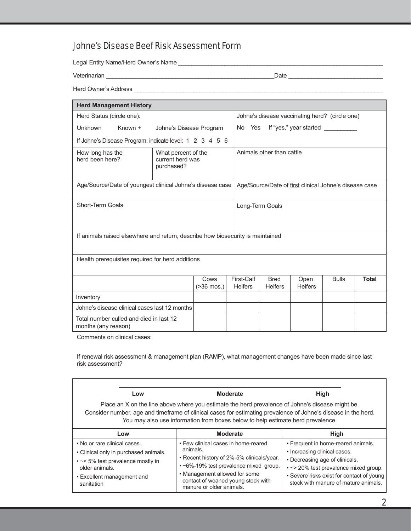### Johne's Disease Beef Risk Assessment Form

Legal Entity Name/Herd Owner's Name \_\_\_\_\_\_\_\_\_\_\_\_\_\_\_\_\_\_\_\_\_\_\_\_\_\_\_\_\_\_\_\_\_\_\_\_\_\_\_\_\_\_\_\_\_\_\_\_\_\_\_\_\_\_\_\_\_\_\_\_\_\_

Veterinarian \_\_\_\_\_\_\_\_\_\_\_\_\_\_\_\_\_\_\_\_\_\_\_\_\_\_\_\_\_\_\_\_\_\_\_\_\_\_\_\_\_\_\_\_\_\_\_\_\_\_\_Date \_\_\_\_\_\_\_\_\_\_\_\_\_\_\_\_\_\_\_\_\_\_\_\_\_\_\_\_\_

Herd Owner's Address \_\_\_\_\_\_\_\_\_\_\_\_\_\_\_\_\_\_\_\_\_\_\_\_\_\_\_\_\_\_\_\_\_\_\_\_\_\_\_\_\_\_\_\_\_\_\_\_\_\_\_\_\_\_\_\_\_\_\_\_\_\_\_\_\_\_\_\_\_\_\_\_\_\_\_\_

| <b>Herd Management History</b>                                                                                      |                                                  |                                                |                                  |                        |              |              |
|---------------------------------------------------------------------------------------------------------------------|--------------------------------------------------|------------------------------------------------|----------------------------------|------------------------|--------------|--------------|
| Herd Status (circle one):                                                                                           |                                                  | Johne's disease vaccinating herd? (circle one) |                                  |                        |              |              |
| Unknown<br>Known +                                                                                                  | Johne's Disease Program                          |                                                | No Yes<br>If "yes," year started |                        |              |              |
| If Johne's Disease Program, indicate level: 1 2 3 4 5 6                                                             |                                                  |                                                |                                  |                        |              |              |
| How long has the<br>What percent of the<br>herd been here?<br>current herd was<br>purchased?                        |                                                  | Animals other than cattle                      |                                  |                        |              |              |
| Age/Source/Date of youngest clinical Johne's disease case<br>Age/Source/Date of first clinical Johne's disease case |                                                  |                                                |                                  |                        |              |              |
| Short-Term Goals<br>Long-Term Goals                                                                                 |                                                  |                                                |                                  |                        |              |              |
| If animals raised elsewhere and return, describe how biosecurity is maintained                                      |                                                  |                                                |                                  |                        |              |              |
|                                                                                                                     | Health prerequisites required for herd additions |                                                |                                  |                        |              |              |
|                                                                                                                     | Cows<br>(>36 mos.)                               | First-Calf<br><b>Heifers</b>                   | <b>Bred</b><br><b>Heifers</b>    | Open<br><b>Heifers</b> | <b>Bulls</b> | <b>Total</b> |
| Inventory                                                                                                           |                                                  |                                                |                                  |                        |              |              |
| Johne's disease clinical cases last 12 months                                                                       |                                                  |                                                |                                  |                        |              |              |
| Total number culled and died in last 12<br>months (any reason)                                                      |                                                  |                                                |                                  |                        |              |              |

Comments on clinical cases:

If renewal risk assessment & management plan (RAMP), what management changes have been made since last risk assessment?

| Low                                                                                                                                                                      | <b>Moderate</b><br>Place an X on the line above where you estimate the herd prevalence of Johne's disease might be.<br>Consider number, age and timeframe of clinical cases for estimating prevalence of Johne's disease in the herd.<br>You may also use information from boxes below to help estimate herd prevalence. | High                                                                                                                                                                                                                                |
|--------------------------------------------------------------------------------------------------------------------------------------------------------------------------|--------------------------------------------------------------------------------------------------------------------------------------------------------------------------------------------------------------------------------------------------------------------------------------------------------------------------|-------------------------------------------------------------------------------------------------------------------------------------------------------------------------------------------------------------------------------------|
| Low                                                                                                                                                                      | <b>Moderate</b>                                                                                                                                                                                                                                                                                                          | <b>High</b>                                                                                                                                                                                                                         |
| . No or rare clinical cases.<br>• Clinical only in purchased animals.<br>• ~< 5% test prevalence mostly in<br>older animals.<br>• Excellent management and<br>sanitation | • Few clinical cases in home-reared<br>animals.<br>• Recent history of 2%-5% clinicals/year.<br>• ~6%-19% test prevalence mixed group.<br>• Management allowed for some<br>contact of weaned young stock with<br>manure or older animals.                                                                                | • Frequent in home-reared animals.<br>• Increasing clinical cases.<br>• Decreasing age of clinicals.<br>• ~ > 20% test prevalence mixed group.<br>• Severe risks exist for contact of young<br>stock with manure of mature animals. |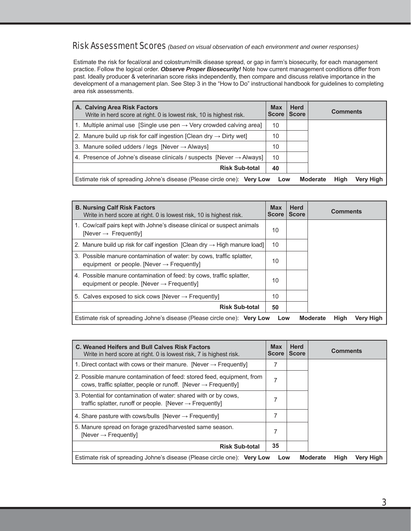#### Risk Assessment Scores *(based on visual observation of each environment and owner responses)*

Estimate the risk for fecal/oral and colostrum/milk disease spread, or gap in farm's biosecurity, for each management practice. Follow the logical order. *Observe Proper Biosecurity!* Note how current management conditions differ from past. Ideally producer & veterinarian score risks independently, then compare and discuss relative importance in the development of a management plan. See Step 3 in the "How to Do" instructional handbook for guidelines to completing area risk assessments.

| A. Calving Area Risk Factors<br>Write in herd score at right. 0 is lowest risk, 10 is highest risk. | <b>Max</b><br><b>Score</b> | <b>Herd</b><br><b>Score</b> |                         | <b>Comments</b> |
|-----------------------------------------------------------------------------------------------------|----------------------------|-----------------------------|-------------------------|-----------------|
| 1. Multiple animal use [Single use pen $\rightarrow$ Very crowded calving area]                     | 10                         |                             |                         |                 |
| 2. Manure build up risk for calf ingestion [Clean dry $\rightarrow$ Dirty wet]                      | 10                         |                             |                         |                 |
| 3. Manure soiled udders / legs [Never $\rightarrow$ Always]                                         | 10                         |                             |                         |                 |
| 4. Presence of Johne's disease clinicals / suspects [Never $\rightarrow$ Always]                    | 10                         |                             |                         |                 |
| <b>Risk Sub-total</b>                                                                               | 40                         |                             |                         |                 |
| Estimate risk of spreading Johne's disease (Please circle one): Very Low                            | Low                        |                             | High<br><b>Moderate</b> | Very High       |

| <b>B. Nursing Calf Risk Factors</b><br>Write in herd score at right. 0 is lowest risk, 10 is highest risk.                     | <b>Max</b><br><b>Score</b> | <b>Herd</b><br><b>Score</b> | <b>Comments</b>                      |
|--------------------------------------------------------------------------------------------------------------------------------|----------------------------|-----------------------------|--------------------------------------|
| 1. Cow/calf pairs kept with Johne's disease clinical or suspect animals<br>[Never $\rightarrow$ Frequently]                    | 10                         |                             |                                      |
| 2. Manure build up risk for calf ingestion [Clean dry $\rightarrow$ High manure load]                                          | 10                         |                             |                                      |
| 3. Possible manure contamination of water: by cows, traffic splatter,<br>equipment or people. [Never $\rightarrow$ Frequently] | 10                         |                             |                                      |
| 4. Possible manure contamination of feed: by cows, traffic splatter,<br>equipment or people. [Never $\rightarrow$ Frequently]  | 10                         |                             |                                      |
| 5. Calves exposed to sick cows [Never $\rightarrow$ Frequently]                                                                | 10                         |                             |                                      |
| <b>Risk Sub-total</b>                                                                                                          | 50                         |                             |                                      |
| Estimate risk of spreading Johne's disease (Please circle one): Very Low                                                       | Low                        |                             | High<br><b>Moderate</b><br>Very High |

| C. Weaned Heifers and Bull Calves Risk Factors<br>Write in herd score at right. 0 is lowest risk, 7 is highest risk.                                 | <b>Max</b><br><b>Score</b> | <b>Herd</b><br><b>Score</b> | <b>Comments</b>                      |
|------------------------------------------------------------------------------------------------------------------------------------------------------|----------------------------|-----------------------------|--------------------------------------|
| 1. Direct contact with cows or their manure. [Never $\rightarrow$ Frequently]                                                                        |                            |                             |                                      |
| 2. Possible manure contamination of feed: stored feed, equipment, from<br>cows, traffic splatter, people or runoff. [Never $\rightarrow$ Frequently] | 7                          |                             |                                      |
| 3. Potential for contamination of water: shared with or by cows,<br>traffic splatter, runoff or people. [Never $\rightarrow$ Frequently]             |                            |                             |                                      |
| 4. Share pasture with cows/bulls [Never $\rightarrow$ Frequently]                                                                                    |                            |                             |                                      |
| 5. Manure spread on forage grazed/harvested same season.<br>[Never $\rightarrow$ Frequently]                                                         | 7                          |                             |                                      |
| <b>Risk Sub-total</b>                                                                                                                                | 35                         |                             |                                      |
| Estimate risk of spreading Johne's disease (Please circle one): Very Low                                                                             | Low                        |                             | High<br><b>Moderate</b><br>Very High |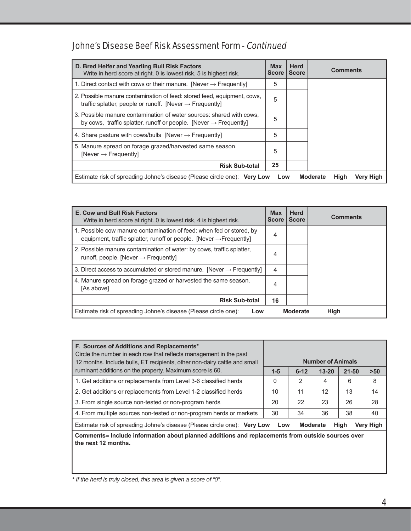## Johne's Disease Beef Risk Assessment Form - Continued

| D. Bred Heifer and Yearling Bull Risk Factors<br>Write in herd score at right. 0 is lowest risk, 5 is highest risk.                                   | <b>Max</b><br><b>Score</b> | <b>Herd</b><br><b>Score</b> |                         | <b>Comments</b> |
|-------------------------------------------------------------------------------------------------------------------------------------------------------|----------------------------|-----------------------------|-------------------------|-----------------|
| 1. Direct contact with cows or their manure. [Never $\rightarrow$ Frequently]                                                                         | 5                          |                             |                         |                 |
| 2. Possible manure contamination of feed: stored feed, equipment, cows,<br>traffic splatter, people or runoff. [Never $\rightarrow$ Frequently]       | 5                          |                             |                         |                 |
| 3. Possible manure contamination of water sources: shared with cows.<br>by cows, traffic splatter, runoff or people. [Never $\rightarrow$ Frequently] | 5                          |                             |                         |                 |
| 4. Share pasture with cows/bulls [Never $\rightarrow$ Frequently]                                                                                     | 5                          |                             |                         |                 |
| 5. Manure spread on forage grazed/harvested same season.<br>[Never $\rightarrow$ Frequently]                                                          | 5                          |                             |                         |                 |
| <b>Risk Sub-total</b>                                                                                                                                 | 25                         |                             |                         |                 |
| Estimate risk of spreading Johne's disease (Please circle one): Very Low                                                                              | Low                        |                             | High<br><b>Moderate</b> | Very High       |

| <b>E. Cow and Bull Risk Factors</b><br>Write in herd score at right. 0 is lowest risk, 4 is highest risk.                                               | <b>Max</b><br><b>Score</b> | <b>Herd</b><br><b>Score</b> | <b>Comments</b> |
|---------------------------------------------------------------------------------------------------------------------------------------------------------|----------------------------|-----------------------------|-----------------|
| 1. Possible cow manure contamination of feed: when fed or stored, by<br>equipment, traffic splatter, runoff or people. [Never $\rightarrow$ Frequently] | 4                          |                             |                 |
| 2. Possible manure contamination of water: by cows, traffic splatter,<br>runoff, people. [Never $\rightarrow$ Frequently]                               | 4                          |                             |                 |
| 3. Direct access to accumulated or stored manure. [Never $\rightarrow$ Frequently]                                                                      | 4                          |                             |                 |
| 4. Manure spread on forage grazed or harvested the same season.<br>[As above]                                                                           | 4                          |                             |                 |
| <b>Risk Sub-total</b>                                                                                                                                   | 16                         |                             |                 |
| Estimate risk of spreading Johne's disease (Please circle one):<br>Low                                                                                  |                            | <b>Moderate</b>             | High            |

| F. Sources of Additions and Replacements*<br>Circle the number in each row that reflects management in the past<br>12 months. Include bulls, ET recipients, other non-dairy cattle and small |                |          | <b>Number of Animals</b> |           |       |
|----------------------------------------------------------------------------------------------------------------------------------------------------------------------------------------------|----------------|----------|--------------------------|-----------|-------|
| ruminant additions on the property. Maximum score is 60.                                                                                                                                     | $1 - 5$        | $6 - 12$ | $13 - 20$                | $21 - 50$ | $>50$ |
| 1. Get additions or replacements from Level 3-6 classified herds                                                                                                                             | 0              | 2        | 4                        | 6         | 8     |
| 2. Get additions or replacements from Level 1-2 classified herds                                                                                                                             | 10             | 11       | 12                       | 13        | 14    |
| 3. From single source non-tested or non-program herds                                                                                                                                        | 22<br>23<br>20 |          | 26                       | 28        |       |
| 4. From multiple sources non-tested or non-program herds or markets                                                                                                                          | 30<br>36<br>34 |          | 38                       | 40        |       |
| Estimate risk of spreading Johne's disease (Please circle one): Very Low<br>Very High<br><b>Moderate</b><br><b>High</b><br>Low                                                               |                |          |                          |           |       |
| Comments– Include information about planned additions and replacements from outside sources over                                                                                             |                |          |                          |           |       |

**the next 12 months.**

*\* If the herd is truly closed, this area is given a score of "0".*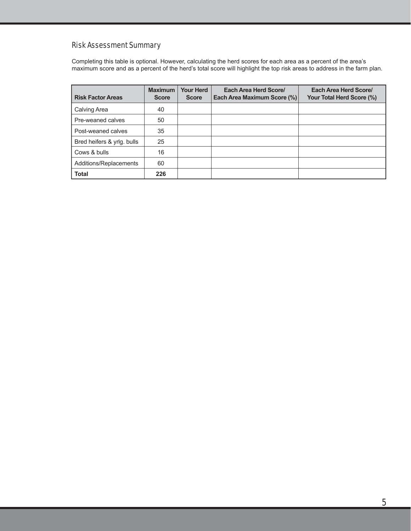#### Risk Assessment Summary

Completing this table is optional. However, calculating the herd scores for each area as a percent of the area's maximum score and as a percent of the herd's total score will highlight the top risk areas to address in the farm plan.

| <b>Risk Factor Areas</b>   | <b>Maximum</b><br><b>Score</b> | <b>Your Herd</b><br><b>Score</b> | Each Area Herd Score/<br>Each Area Maximum Score (%) | Each Area Herd Score/<br>Your Total Herd Score (%) |
|----------------------------|--------------------------------|----------------------------------|------------------------------------------------------|----------------------------------------------------|
| Calving Area               | 40                             |                                  |                                                      |                                                    |
| Pre-weaned calves          | 50                             |                                  |                                                      |                                                    |
| Post-weaned calves         | 35                             |                                  |                                                      |                                                    |
| Bred heifers & yrlg. bulls | 25                             |                                  |                                                      |                                                    |
| Cows & bulls               | 16                             |                                  |                                                      |                                                    |
| Additions/Replacements     | 60                             |                                  |                                                      |                                                    |
| <b>Total</b>               | 226                            |                                  |                                                      |                                                    |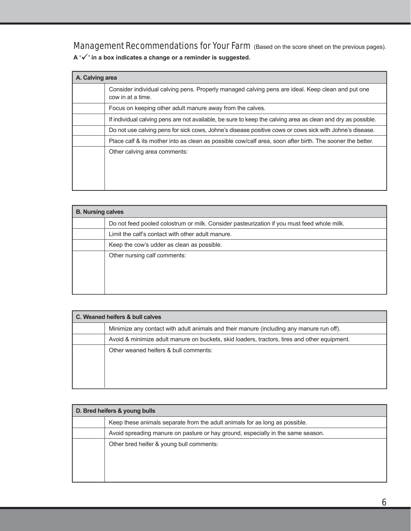Management Recommendations for Your Farm (Based on the score sheet on the previous pages).

**A '' in a box indicates a change or a reminder is suggested.** 

| A. Calving area |                                                                                                                        |
|-----------------|------------------------------------------------------------------------------------------------------------------------|
|                 | Consider individual calving pens. Properly managed calving pens are ideal. Keep clean and put one<br>cow in at a time. |
|                 | Focus on keeping other adult manure away from the calves.                                                              |
|                 | If individual calving pens are not available, be sure to keep the calving area as clean and dry as possible.           |
|                 | Do not use calving pens for sick cows, Johne's disease positive cows or cows sick with Johne's disease.                |
|                 | Place calf & its mother into as clean as possible cow/calf area, soon after birth. The sooner the better.              |
|                 | Other calving area comments:                                                                                           |

| <b>B. Nursing calves</b> |                                                                                            |
|--------------------------|--------------------------------------------------------------------------------------------|
|                          | Do not feed pooled colostrum or milk. Consider pasteurization if you must feed whole milk. |
|                          | Limit the calf's contact with other adult manure.                                          |
|                          | Keep the cow's udder as clean as possible.                                                 |
|                          | Other nursing calf comments:                                                               |
|                          |                                                                                            |
|                          |                                                                                            |
|                          |                                                                                            |

| C. Weaned heifers & bull calves |                                                                                              |  |
|---------------------------------|----------------------------------------------------------------------------------------------|--|
|                                 | Minimize any contact with adult animals and their manure (including any manure run off).     |  |
|                                 | Avoid & minimize adult manure on buckets, skid loaders, tractors, tires and other equipment. |  |
|                                 | Other weaned heifers & bull comments:                                                        |  |
|                                 |                                                                                              |  |
|                                 |                                                                                              |  |
|                                 |                                                                                              |  |

| D. Bred heifers & young bulls |                                                                                 |  |
|-------------------------------|---------------------------------------------------------------------------------|--|
|                               | Keep these animals separate from the adult animals for as long as possible.     |  |
|                               | Avoid spreading manure on pasture or hay ground, especially in the same season. |  |
|                               | Other bred heifer & young bull comments:                                        |  |
|                               |                                                                                 |  |
|                               |                                                                                 |  |